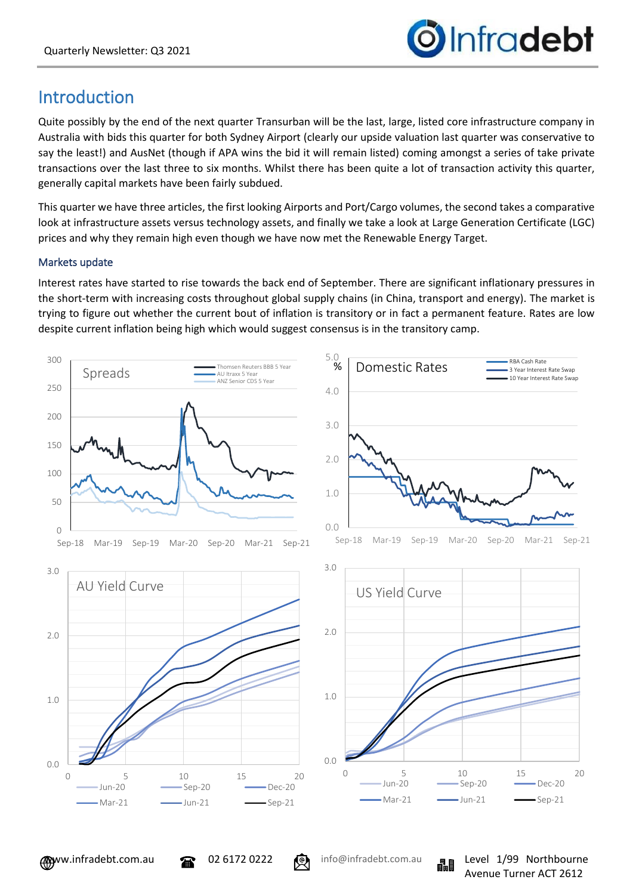

# Introduction

Quite possibly by the end of the next quarter Transurban will be the last, large, listed core infrastructure company in Australia with bids this quarter for both Sydney Airport (clearly our upside valuation last quarter was conservative to say the least!) and AusNet (though if APA wins the bid it will remain listed) coming amongst a series of take private transactions over the last three to six months. Whilst there has been quite a lot of transaction activity this quarter, generally capital markets have been fairly subdued.

This quarter we have three articles, the first looking Airports and Port/Cargo volumes, the second takes a comparative look at infrastructure assets versus technology assets, and finally we take a look at Large Generation Certificate (LGC) prices and why they remain high even though we have now met the Renewable Energy Target.

## Markets update

Interest rates have started to rise towards the back end of September. There are significant inflationary pressures in the short-term with increasing costs throughout global supply chains (in China, transport and energy). The market is trying to figure out whether the current bout of inflation is transitory or in fact a permanent feature. Rates are low despite current inflation being high which would suggest consensus is in the transitory camp.

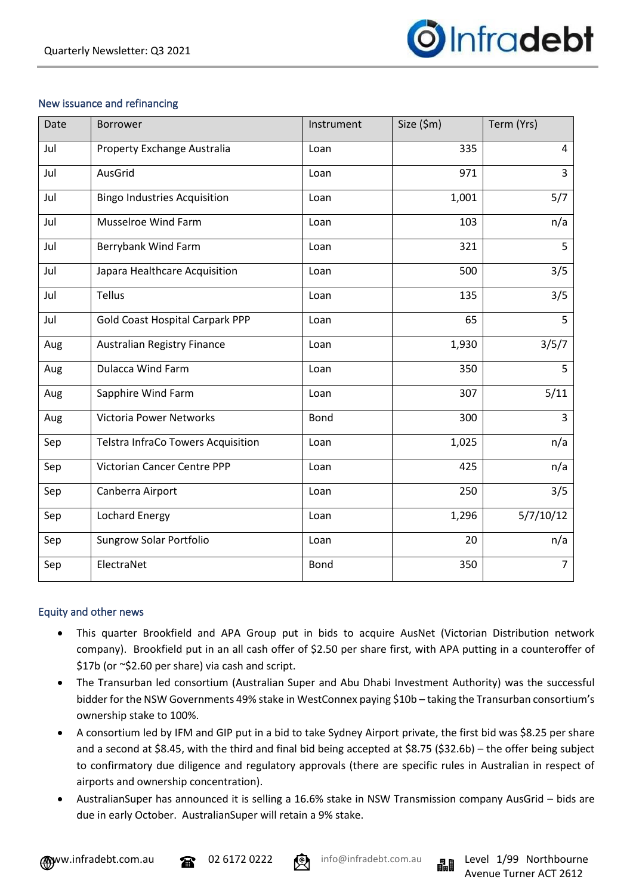

## New issuance and refinancing

| Date | Borrower                               | Instrument  | Size (\$m) | Term (Yrs)     |
|------|----------------------------------------|-------------|------------|----------------|
| Jul  | Property Exchange Australia            | Loan        | 335        | 4              |
| Jul  | AusGrid                                | Loan        | 971        | 3              |
| Jul  | <b>Bingo Industries Acquisition</b>    | Loan        | 1,001      | 5/7            |
| Jul  | <b>Musselroe Wind Farm</b>             | Loan        | 103        | n/a            |
| Jul  | Berrybank Wind Farm                    | Loan        | 321        | 5              |
| Jul  | Japara Healthcare Acquisition          | Loan        | 500        | 3/5            |
| Jul  | Tellus                                 | Loan        | 135        | 3/5            |
| Jul  | <b>Gold Coast Hospital Carpark PPP</b> | Loan        | 65         | 5              |
| Aug  | <b>Australian Registry Finance</b>     | Loan        | 1,930      | 3/5/7          |
| Aug  | <b>Dulacca Wind Farm</b>               | Loan        | 350        | 5              |
| Aug  | Sapphire Wind Farm                     | Loan        | 307        | 5/11           |
| Aug  | <b>Victoria Power Networks</b>         | <b>Bond</b> | 300        | $\overline{3}$ |
| Sep  | Telstra InfraCo Towers Acquisition     | Loan        | 1,025      | n/a            |
| Sep  | Victorian Cancer Centre PPP            | Loan        | 425        | n/a            |
| Sep  | Canberra Airport                       | Loan        | 250        | 3/5            |
| Sep  | <b>Lochard Energy</b>                  | Loan        | 1,296      | 5/7/10/12      |
| Sep  | Sungrow Solar Portfolio                | Loan        | 20         | n/a            |
| Sep  | ElectraNet                             | <b>Bond</b> | 350        | 7              |

### Equity and other news

- This quarter Brookfield and APA Group put in bids to acquire AusNet (Victorian Distribution network company). Brookfield put in an all cash offer of \$2.50 per share first, with APA putting in a counteroffer of \$17b (or ~\$2.60 per share) via cash and script.
- The Transurban led consortium (Australian Super and Abu Dhabi Investment Authority) was the successful bidder for the NSW Governments 49% stake in WestConnex paying \$10b – taking the Transurban consortium's ownership stake to 100%.
- A consortium led by IFM and GIP put in a bid to take Sydney Airport private, the first bid was \$8.25 per share and a second at \$8.45, with the third and final bid being accepted at \$8.75 (\$32.6b) – the offer being subject to confirmatory due diligence and regulatory approvals (there are specific rules in Australian in respect of airports and ownership concentration).
- AustralianSuper has announced it is selling a 16.6% stake in NSW Transmission company AusGrid bids are due in early October. AustralianSuper will retain a 9% stake.





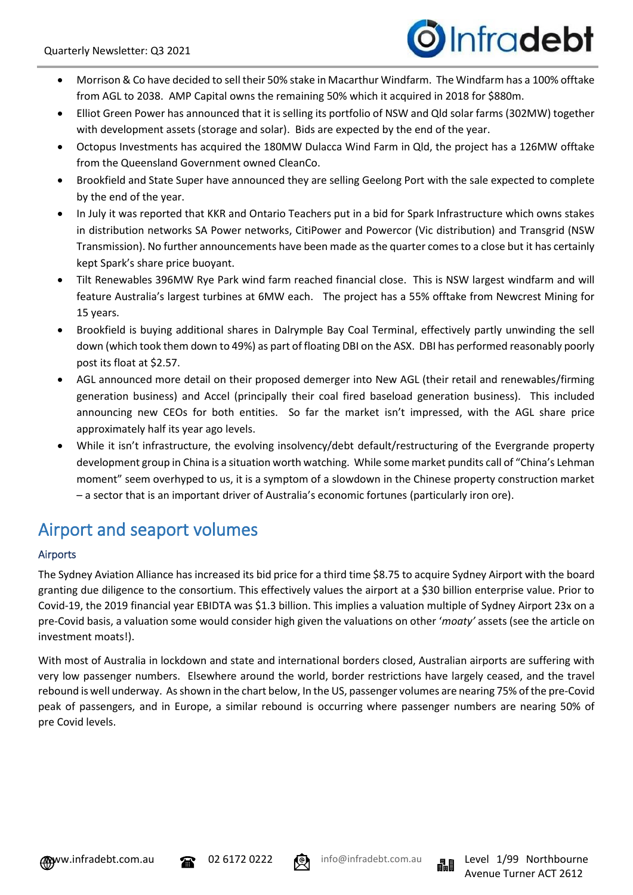

- Morrison & Co have decided to sell their 50% stake in Macarthur Windfarm. The Windfarm has a 100% offtake from AGL to 2038. AMP Capital owns the remaining 50% which it acquired in 2018 for \$880m.
- Elliot Green Power has announced that it is selling its portfolio of NSW and Qld solar farms (302MW) together with development assets (storage and solar). Bids are expected by the end of the year.
- Octopus Investments has acquired the 180MW Dulacca Wind Farm in Qld, the project has a 126MW offtake from the Queensland Government owned CleanCo.
- Brookfield and State Super have announced they are selling Geelong Port with the sale expected to complete by the end of the year.
- In July it was reported that KKR and Ontario Teachers put in a bid for Spark Infrastructure which owns stakes in distribution networks SA Power networks, CitiPower and Powercor (Vic distribution) and Transgrid (NSW Transmission). No further announcements have been made as the quarter comes to a close but it has certainly kept Spark's share price buoyant.
- Tilt Renewables 396MW Rye Park wind farm reached financial close. This is NSW largest windfarm and will feature Australia's largest turbines at 6MW each. The project has a 55% offtake from Newcrest Mining for 15 years.
- Brookfield is buying additional shares in Dalrymple Bay Coal Terminal, effectively partly unwinding the sell down (which took them down to 49%) as part of floating DBI on the ASX. DBI has performed reasonably poorly post its float at \$2.57.
- AGL announced more detail on their proposed demerger into New AGL (their retail and renewables/firming generation business) and Accel (principally their coal fired baseload generation business). This included announcing new CEOs for both entities. So far the market isn't impressed, with the AGL share price approximately half its year ago levels.
- While it isn't infrastructure, the evolving insolvency/debt default/restructuring of the Evergrande property development group in China is a situation worth watching. While some market pundits call of "China's Lehman moment" seem overhyped to us, it is a symptom of a slowdown in the Chinese property construction market – a sector that is an important driver of Australia's economic fortunes (particularly iron ore).

# Airport and seaport volumes

## Airports

The Sydney Aviation Alliance has increased its bid price for a third time \$8.75 to acquire Sydney Airport with the board granting due diligence to the consortium. This effectively values the airport at a \$30 billion enterprise value. Prior to Covid-19, the 2019 financial year EBIDTA was \$1.3 billion. This implies a valuation multiple of Sydney Airport 23x on a pre-Covid basis, a valuation some would consider high given the valuations on other '*moaty'* assets (see the article on investment moats!).

With most of Australia in lockdown and state and international borders closed, Australian airports are suffering with very low passenger numbers. Elsewhere around the world, border restrictions have largely ceased, and the travel rebound is well underway. As shown in the chart below, In the US, passenger volumes are nearing 75% of the pre-Covid peak of passengers, and in Europe, a similar rebound is occurring where passenger numbers are nearing 50% of pre Covid levels.





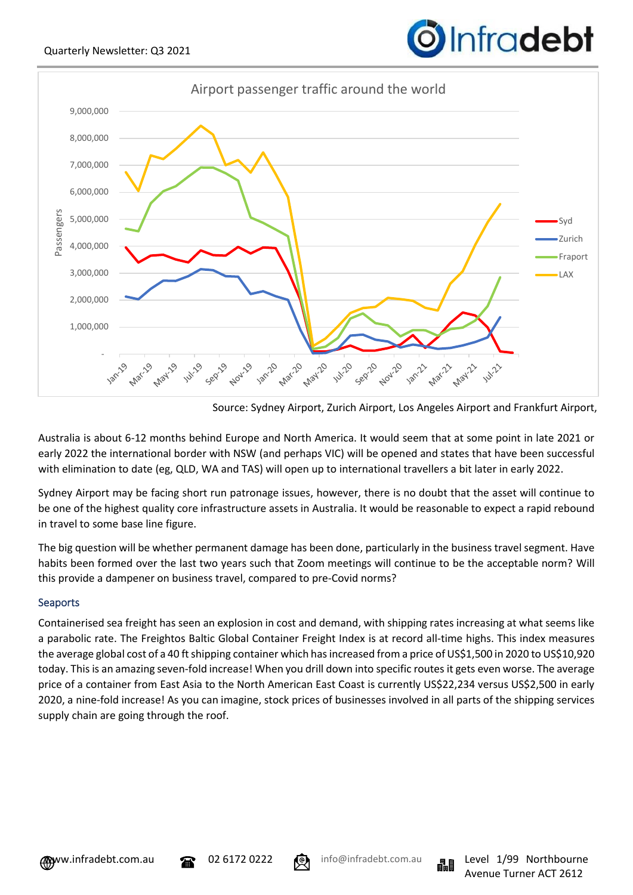



Source: Sydney Airport, Zurich Airport, Los Angeles Airport and Frankfurt Airport,

Australia is about 6-12 months behind Europe and North America. It would seem that at some point in late 2021 or early 2022 the international border with NSW (and perhaps VIC) will be opened and states that have been successful with elimination to date (eg, QLD, WA and TAS) will open up to international travellers a bit later in early 2022.

Sydney Airport may be facing short run patronage issues, however, there is no doubt that the asset will continue to be one of the highest quality core infrastructure assets in Australia. It would be reasonable to expect a rapid rebound in travel to some base line figure.

The big question will be whether permanent damage has been done, particularly in the business travel segment. Have habits been formed over the last two years such that Zoom meetings will continue to be the acceptable norm? Will this provide a dampener on business travel, compared to pre-Covid norms?

## **Seaports**

Containerised sea freight has seen an explosion in cost and demand, with shipping rates increasing at what seems like a parabolic rate. The Freightos Baltic Global Container Freight Index is at record all-time highs. This index measures the average global cost of a 40 ft shipping container which has increased from a price of US\$1,500 in 2020 to US\$10,920 today. This is an amazing seven-fold increase! When you drill down into specific routes it gets even worse. The average price of a container from East Asia to the North American East Coast is currently US\$22,234 versus US\$2,500 in early 2020, a nine-fold increase! As you can imagine, stock prices of businesses involved in all parts of the shipping services supply chain are going through the roof.





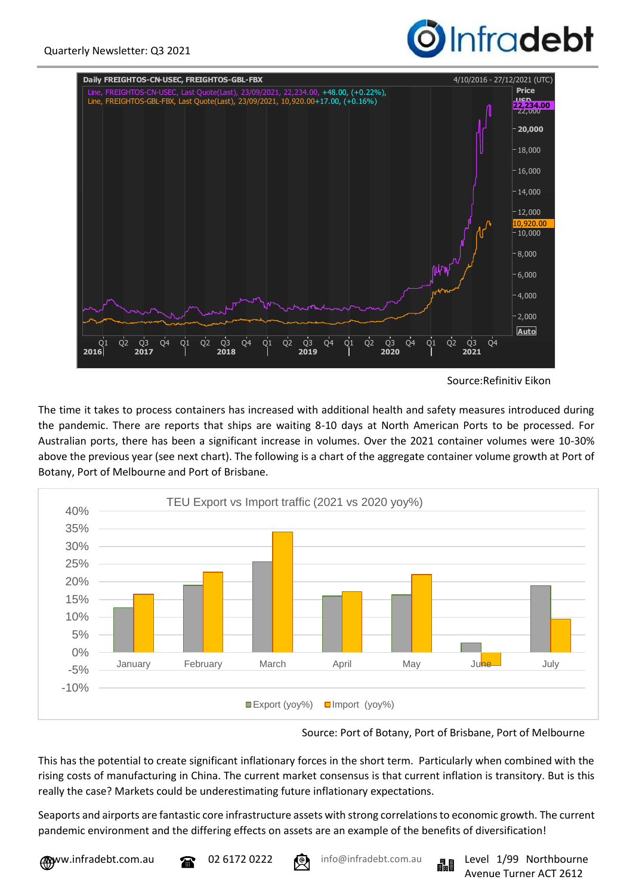



Source:Refinitiv Eikon

The time it takes to process containers has increased with additional health and safety measures introduced during the pandemic. There are reports that ships are waiting 8-10 days at North American Ports to be processed. For Australian ports, there has been a significant increase in volumes. Over the 2021 container volumes were 10-30% above the previous year (see next chart). The following is a chart of the aggregate container volume growth at Port of Botany, Port of Melbourne and Port of Brisbane.



Source: Port of Botany, Port of Brisbane, Port of Melbourne

This has the potential to create significant inflationary forces in the short term. Particularly when combined with the rising costs of manufacturing in China. The current market consensus is that current inflation is transitory. But is this really the case? Markets could be underestimating future inflationary expectations.

Seaports and airports are fantastic core infrastructure assets with strong correlations to economic growth. The current pandemic environment and the differing effects on assets are an example of the benefits of diversification!



ww.infradebt.com.au **199 Northbourne** 02 6172 0222 **199 info@infradebt.com.au Expansion** 1/99 Northbourne Avenue Turner ACT 2612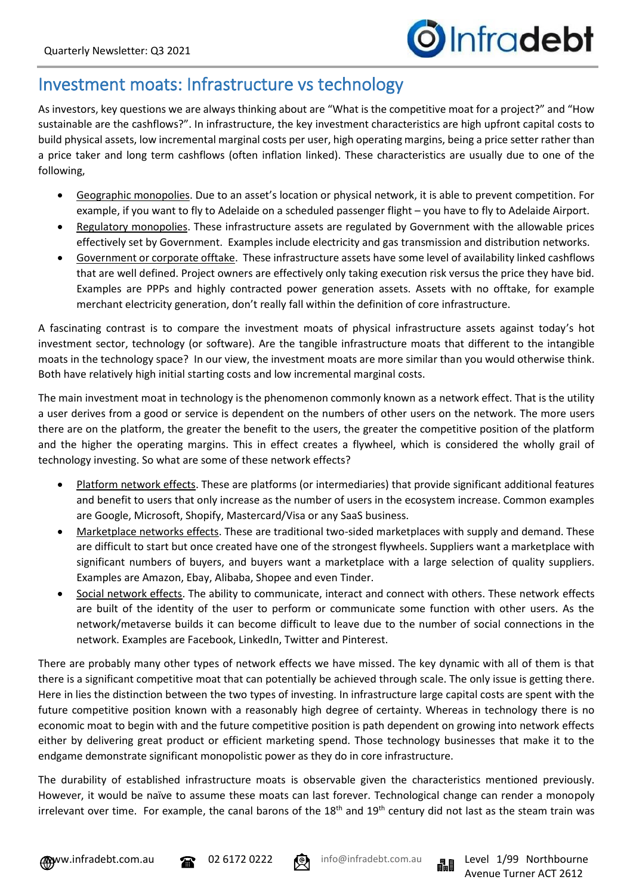## Investment moats: Infrastructure vs technology

As investors, key questions we are always thinking about are "What is the competitive moat for a project?" and "How sustainable are the cashflows?". In infrastructure, the key investment characteristics are high upfront capital costs to build physical assets, low incremental marginal costs per user, high operating margins, being a price setter rather than a price taker and long term cashflows (often inflation linked). These characteristics are usually due to one of the following,

- Geographic monopolies. Due to an asset's location or physical network, it is able to prevent competition. For example, if you want to fly to Adelaide on a scheduled passenger flight – you have to fly to Adelaide Airport.
- Regulatory monopolies. These infrastructure assets are regulated by Government with the allowable prices effectively set by Government. Examples include electricity and gas transmission and distribution networks.
- Government or corporate offtake. These infrastructure assets have some level of availability linked cashflows that are well defined. Project owners are effectively only taking execution risk versus the price they have bid. Examples are PPPs and highly contracted power generation assets. Assets with no offtake, for example merchant electricity generation, don't really fall within the definition of core infrastructure.

A fascinating contrast is to compare the investment moats of physical infrastructure assets against today's hot investment sector, technology (or software). Are the tangible infrastructure moats that different to the intangible moats in the technology space? In our view, the investment moats are more similar than you would otherwise think. Both have relatively high initial starting costs and low incremental marginal costs.

The main investment moat in technology is the phenomenon commonly known as a network effect. That is the utility a user derives from a good or service is dependent on the numbers of other users on the network. The more users there are on the platform, the greater the benefit to the users, the greater the competitive position of the platform and the higher the operating margins. This in effect creates a flywheel, which is considered the wholly grail of technology investing. So what are some of these network effects?

- Platform network effects. These are platforms (or intermediaries) that provide significant additional features and benefit to users that only increase as the number of users in the ecosystem increase. Common examples are Google, Microsoft, Shopify, Mastercard/Visa or any SaaS business.
- Marketplace networks effects. These are traditional two-sided marketplaces with supply and demand. These are difficult to start but once created have one of the strongest flywheels. Suppliers want a marketplace with significant numbers of buyers, and buyers want a marketplace with a large selection of quality suppliers. Examples are Amazon, Ebay, Alibaba, Shopee and even Tinder.
- Social network effects. The ability to communicate, interact and connect with others. These network effects are built of the identity of the user to perform or communicate some function with other users. As the network/metaverse builds it can become difficult to leave due to the number of social connections in the network. Examples are Facebook, LinkedIn, Twitter and Pinterest.

There are probably many other types of network effects we have missed. The key dynamic with all of them is that there is a significant competitive moat that can potentially be achieved through scale. The only issue is getting there. Here in lies the distinction between the two types of investing. In infrastructure large capital costs are spent with the future competitive position known with a reasonably high degree of certainty. Whereas in technology there is no economic moat to begin with and the future competitive position is path dependent on growing into network effects either by delivering great product or efficient marketing spend. Those technology businesses that make it to the endgame demonstrate significant monopolistic power as they do in core infrastructure.

The durability of established infrastructure moats is observable given the characteristics mentioned previously. However, it would be naïve to assume these moats can last forever. Technological change can render a monopoly irrelevant over time. For example, the canal barons of the  $18<sup>th</sup>$  and  $19<sup>th</sup>$  century did not last as the steam train was





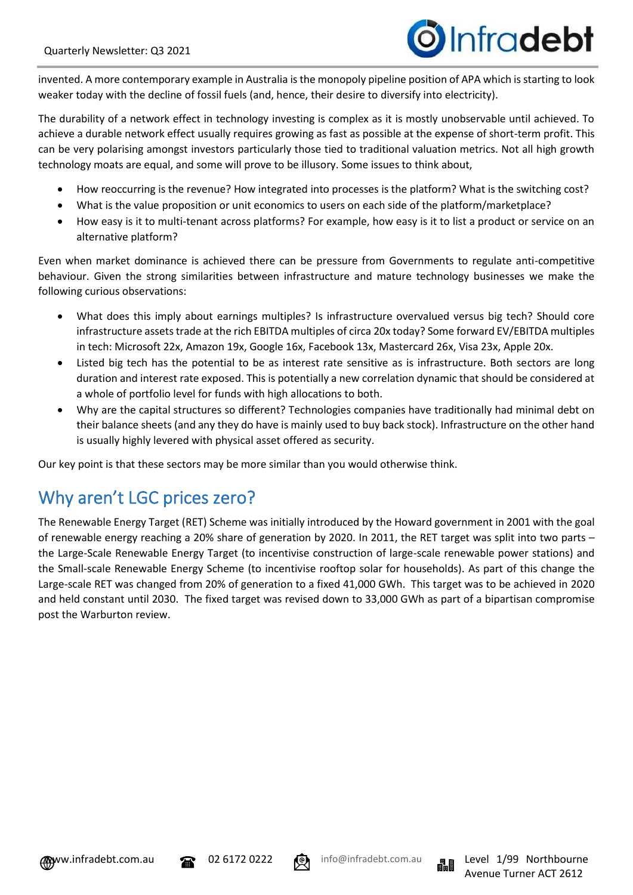# *D*Infradebt

invented. A more contemporary example in Australia is the monopoly pipeline position of APA which is starting to look weaker today with the decline of fossil fuels (and, hence, their desire to diversify into electricity).

The durability of a network effect in technology investing is complex as it is mostly unobservable until achieved. To achieve a durable network effect usually requires growing as fast as possible at the expense of short-term profit. This can be very polarising amongst investors particularly those tied to traditional valuation metrics. Not all high growth technology moats are equal, and some will prove to be illusory. Some issues to think about,

- How reoccurring is the revenue? How integrated into processes is the platform? What is the switching cost?
- What is the value proposition or unit economics to users on each side of the platform/marketplace?
- How easy is it to multi-tenant across platforms? For example, how easy is it to list a product or service on an alternative platform?

Even when market dominance is achieved there can be pressure from Governments to regulate anti-competitive behaviour. Given the strong similarities between infrastructure and mature technology businesses we make the following curious observations:

- What does this imply about earnings multiples? Is infrastructure overvalued versus big tech? Should core infrastructure assets trade at the rich EBITDA multiples of circa 20x today? Some forward EV/EBITDA multiples in tech: Microsoft 22x, Amazon 19x, Google 16x, Facebook 13x, Mastercard 26x, Visa 23x, Apple 20x.
- Listed big tech has the potential to be as interest rate sensitive as is infrastructure. Both sectors are long duration and interest rate exposed. This is potentially a new correlation dynamic that should be considered at a whole of portfolio level for funds with high allocations to both.
- Why are the capital structures so different? Technologies companies have traditionally had minimal debt on their balance sheets (and any they do have is mainly used to buy back stock). Infrastructure on the other hand is usually highly levered with physical asset offered as security.

Our key point is that these sectors may be more similar than you would otherwise think.

# Why aren't LGC prices zero?

The Renewable Energy Target (RET) Scheme was initially introduced by the Howard government in 2001 with the goal of renewable energy reaching a 20% share of generation by 2020. In 2011, the RET target was split into two parts – the Large-Scale Renewable Energy Target (to incentivise construction of large-scale renewable power stations) and the Small-scale Renewable Energy Scheme (to incentivise rooftop solar for households). As part of this change the Large-scale RET was changed from 20% of generation to a fixed 41,000 GWh. This target was to be achieved in 2020 and held constant until 2030. The fixed target was revised down to 33,000 GWh as part of a bipartisan compromise post the Warburton review.



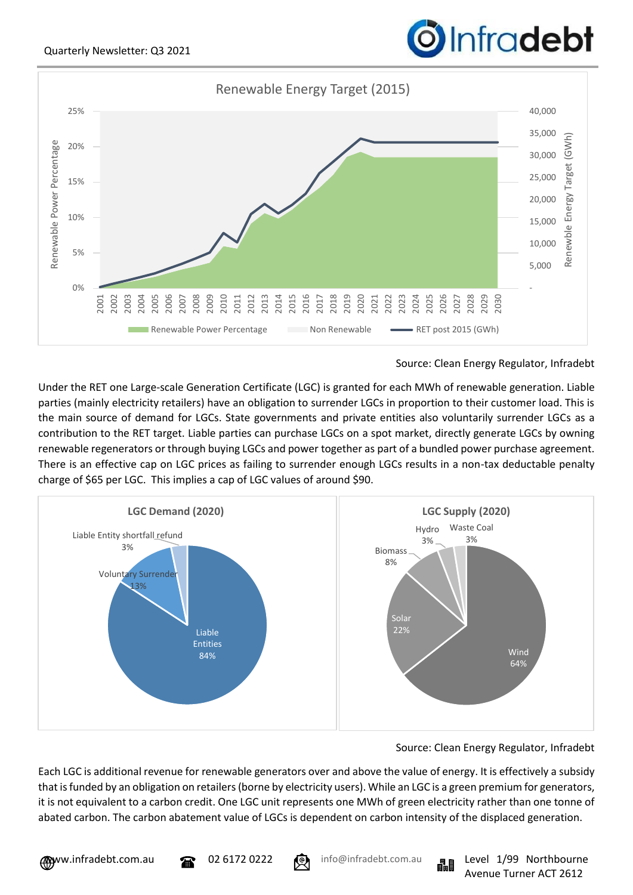

Source: Clean Energy Regulator, Infradebt

Under the RET one Large-scale Generation Certificate (LGC) is granted for each MWh of renewable generation. Liable parties (mainly electricity retailers) have an obligation to surrender LGCs in proportion to their customer load. This is the main source of demand for LGCs. State governments and private entities also voluntarily surrender LGCs as a contribution to the RET target. Liable parties can purchase LGCs on a spot market, directly generate LGCs by owning renewable regenerators or through buying LGCs and power together as part of a bundled power purchase agreement. There is an effective cap on LGC prices as failing to surrender enough LGCs results in a non-tax deductable penalty charge of \$65 per LGC. This implies a cap of LGC values of around \$90.



## Source: Clean Energy Regulator, Infradebt

Each LGC is additional revenue for renewable generators over and above the value of energy. It is effectively a subsidy that is funded by an obligation on retailers(borne by electricity users). While an LGC is a green premium for generators, it is not equivalent to a carbon credit. One LGC unit represents one MWh of green electricity rather than one tonne of abated carbon. The carbon abatement value of LGCs is dependent on carbon intensity of the displaced generation.

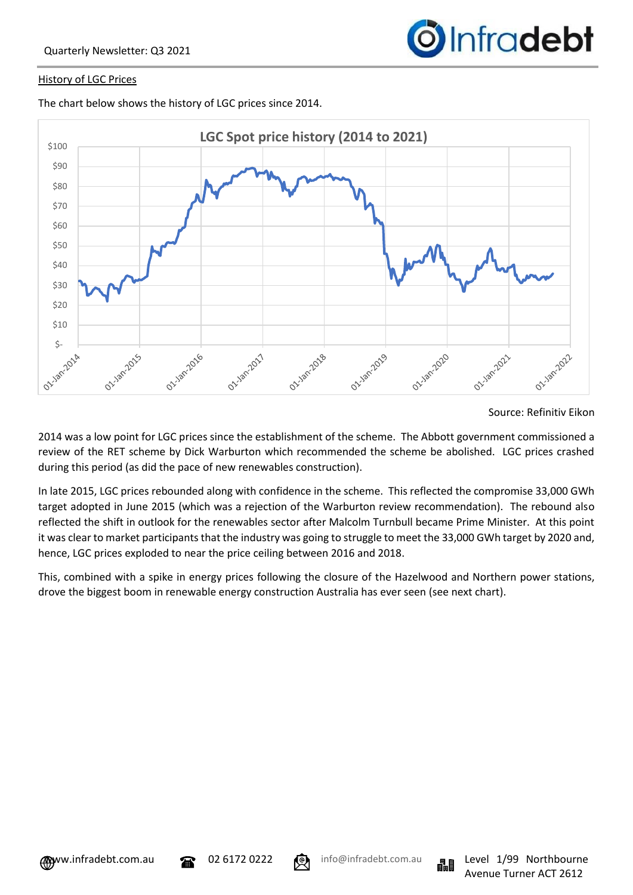

#### History of LGC Prices

The chart below shows the history of LGC prices since 2014.



#### Source: Refinitiv Eikon

2014 was a low point for LGC prices since the establishment of the scheme. The Abbott government commissioned a review of the RET scheme by Dick Warburton which recommended the scheme be abolished. LGC prices crashed during this period (as did the pace of new renewables construction).

In late 2015, LGC prices rebounded along with confidence in the scheme. This reflected the compromise 33,000 GWh target adopted in June 2015 (which was a rejection of the Warburton review recommendation). The rebound also reflected the shift in outlook for the renewables sector after Malcolm Turnbull became Prime Minister. At this point it was clear to market participants that the industry was going to struggle to meet the 33,000 GWh target by 2020 and, hence, LGC prices exploded to near the price ceiling between 2016 and 2018.

This, combined with a spike in energy prices following the closure of the Hazelwood and Northern power stations, drove the biggest boom in renewable energy construction Australia has ever seen (see next chart).



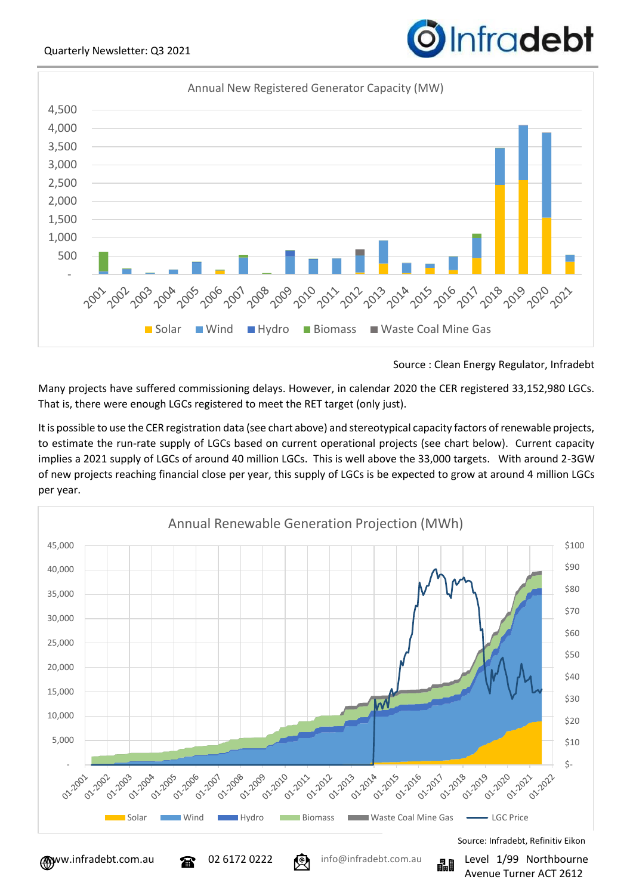

Source : Clean Energy Regulator, Infradebt

Many projects have suffered commissioning delays. However, in calendar 2020 the CER registered 33,152,980 LGCs. That is, there were enough LGCs registered to meet the RET target (only just).

It is possible to use the CER registration data (see chart above) and stereotypical capacity factors of renewable projects, to estimate the run-rate supply of LGCs based on current operational projects (see chart below). Current capacity implies a 2021 supply of LGCs of around 40 million LGCs. This is well above the 33,000 targets. With around 2-3GW of new projects reaching financial close per year, this supply of LGCs is be expected to grow at around 4 million LGCs per year.



Source: Infradebt, Refinitiv Eikon



Avenue Turner ACT 2612

# **O**Infradebt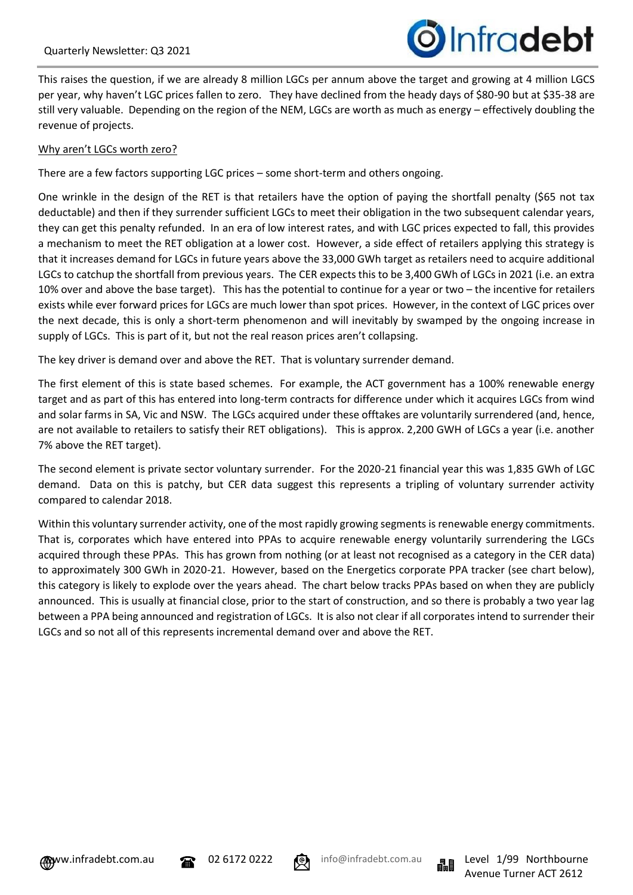

This raises the question, if we are already 8 million LGCs per annum above the target and growing at 4 million LGCS per year, why haven't LGC prices fallen to zero. They have declined from the heady days of \$80-90 but at \$35-38 are still very valuable. Depending on the region of the NEM, LGCs are worth as much as energy – effectively doubling the revenue of projects.

### Why aren't LGCs worth zero?

There are a few factors supporting LGC prices – some short-term and others ongoing.

One wrinkle in the design of the RET is that retailers have the option of paying the shortfall penalty (\$65 not tax deductable) and then if they surrender sufficient LGCs to meet their obligation in the two subsequent calendar years, they can get this penalty refunded. In an era of low interest rates, and with LGC prices expected to fall, this provides a mechanism to meet the RET obligation at a lower cost. However, a side effect of retailers applying this strategy is that it increases demand for LGCs in future years above the 33,000 GWh target as retailers need to acquire additional LGCs to catchup the shortfall from previous years. The CER expects this to be 3,400 GWh of LGCs in 2021 (i.e. an extra 10% over and above the base target). This has the potential to continue for a year or two – the incentive for retailers exists while ever forward prices for LGCs are much lower than spot prices. However, in the context of LGC prices over the next decade, this is only a short-term phenomenon and will inevitably by swamped by the ongoing increase in supply of LGCs. This is part of it, but not the real reason prices aren't collapsing.

The key driver is demand over and above the RET. That is voluntary surrender demand.

The first element of this is state based schemes. For example, the ACT government has a 100% renewable energy target and as part of this has entered into long-term contracts for difference under which it acquires LGCs from wind and solar farms in SA, Vic and NSW. The LGCs acquired under these offtakes are voluntarily surrendered (and, hence, are not available to retailers to satisfy their RET obligations). This is approx. 2,200 GWH of LGCs a year (i.e. another 7% above the RET target).

The second element is private sector voluntary surrender. For the 2020-21 financial year this was 1,835 GWh of LGC demand. Data on this is patchy, but CER data suggest this represents a tripling of voluntary surrender activity compared to calendar 2018.

Within this voluntary surrender activity, one of the most rapidly growing segments is renewable energy commitments. That is, corporates which have entered into PPAs to acquire renewable energy voluntarily surrendering the LGCs acquired through these PPAs. This has grown from nothing (or at least not recognised as a category in the CER data) to approximately 300 GWh in 2020-21. However, based on the Energetics corporate PPA tracker (see chart below), this category is likely to explode over the years ahead. The chart below tracks PPAs based on when they are publicly announced. This is usually at financial close, prior to the start of construction, and so there is probably a two year lag between a PPA being announced and registration of LGCs. It is also not clear if all corporates intend to surrender their LGCs and so not all of this represents incremental demand over and above the RET.



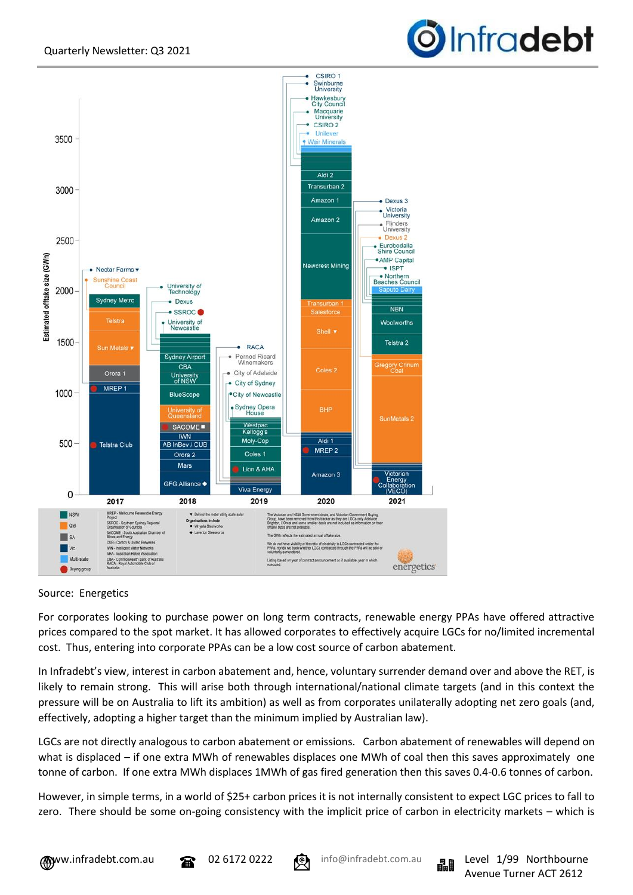



### Source: Energetics

For corporates looking to purchase power on long term contracts, renewable energy PPAs have offered attractive prices compared to the spot market. It has allowed corporates to effectively acquire LGCs for no/limited incremental cost. Thus, entering into corporate PPAs can be a low cost source of carbon abatement.

In Infradebt's view, interest in carbon abatement and, hence, voluntary surrender demand over and above the RET, is likely to remain strong. This will arise both through international/national climate targets (and in this context the pressure will be on Australia to lift its ambition) as well as from corporates unilaterally adopting net zero goals (and, effectively, adopting a higher target than the minimum implied by Australian law).

LGCs are not directly analogous to carbon abatement or emissions. Carbon abatement of renewables will depend on what is displaced – if one extra MWh of renewables displaces one MWh of coal then this saves approximately one tonne of carbon. If one extra MWh displaces 1MWh of gas fired generation then this saves 0.4-0.6 tonnes of carbon.

However, in simple terms, in a world of \$25+ carbon prices it is not internally consistent to expect LGC prices to fall to zero. There should be some on-going consistency with the implicit price of carbon in electricity markets – which is